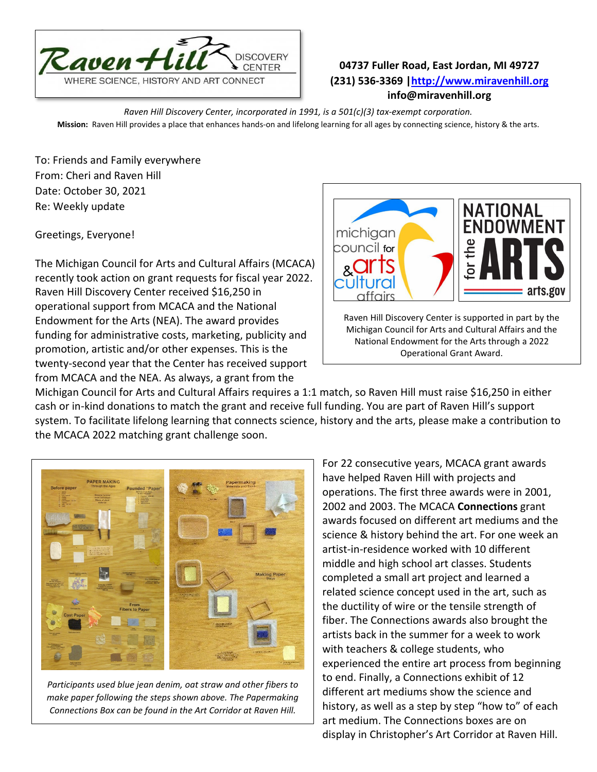

## **04737 Fuller Road, East Jordan, MI 49727 (231) 536-3369 [|http://www.miravenhill.org](http://www.miravenhill.org/) info@miravenhill.org**

*Raven Hill Discovery Center, incorporated in 1991, is a 501(c)(3) tax-exempt corporation.* **Mission:** Raven Hill provides a place that enhances hands-on and lifelong learning for all ages by connecting science, history & the arts.

To: Friends and Family everywhere From: Cheri and Raven Hill Date: October 30, 2021 Re: Weekly update

Greetings, Everyone!

The Michigan Council for Arts and Cultural Affairs (MCACA) recently took action on grant requests for fiscal year 2022. Raven Hill Discovery Center received \$16,250 in operational support from MCACA and the National Endowment for the Arts (NEA). The award provides funding for administrative costs, marketing, publicity and promotion, artistic and/or other expenses. This is the twenty-second year that the Center has received support from MCACA and the NEA. As always, a grant from the



Raven Hill Discovery Center is supported in part by the Michigan Council for Arts and Cultural Affairs and the National Endowment for the Arts through a 2022 Operational Grant Award.

Michigan Council for Arts and Cultural Affairs requires a 1:1 match, so Raven Hill must raise \$16,250 in either cash or in-kind donations to match the grant and receive full funding. You are part of Raven Hill's support system. To facilitate lifelong learning that connects science, history and the arts, please make a contribution to the MCACA 2022 matching grant challenge soon.



*Participants used blue jean denim, oat straw and other fibers to make paper following the steps shown above. The Papermaking Connections Box can be found in the Art Corridor at Raven Hill.*

For 22 consecutive years, MCACA grant awards have helped Raven Hill with projects and operations. The first three awards were in 2001, 2002 and 2003. The MCACA **Connections** grant awards focused on different art mediums and the science & history behind the art. For one week an artist-in-residence worked with 10 different middle and high school art classes. Students completed a small art project and learned a related science concept used in the art, such as the ductility of wire or the tensile strength of fiber. The Connections awards also brought the artists back in the summer for a week to work with teachers & college students, who experienced the entire art process from beginning to end. Finally, a Connections exhibit of 12 different art mediums show the science and history, as well as a step by step "how to" of each art medium. The Connections boxes are on display in Christopher's Art Corridor at Raven Hill.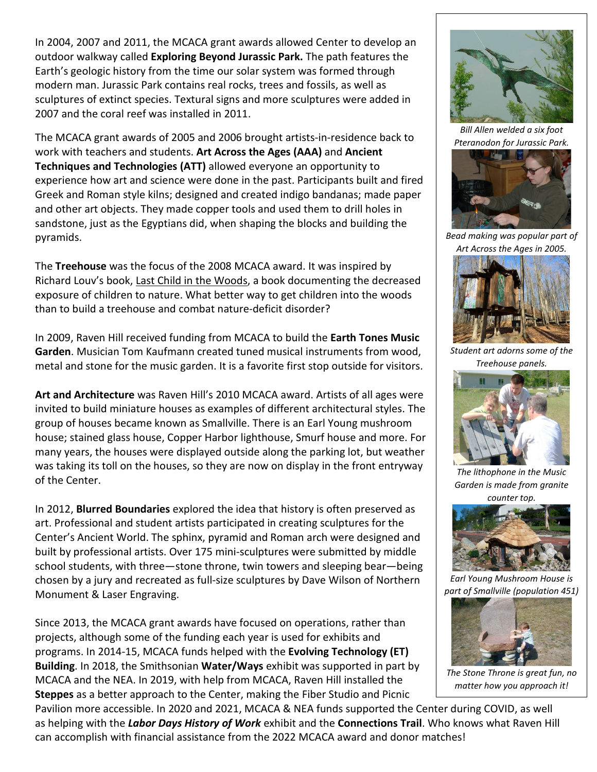In 2004, 2007 and 2011, the MCACA grant awards allowed Center to develop an outdoor walkway called **Exploring Beyond Jurassic Park.** The path features the Earth's geologic history from the time our solar system was formed through modern man. Jurassic Park contains real rocks, trees and fossils, as well as sculptures of extinct species. Textural signs and more sculptures were added in 2007 and the coral reef was installed in 2011.

The MCACA grant awards of 2005 and 2006 brought artists-in-residence back to work with teachers and students. **Art Across the Ages (AAA)** and **Ancient Techniques and Technologies (ATT)** allowed everyone an opportunity to experience how art and science were done in the past. Participants built and fired Greek and Roman style kilns; designed and created indigo bandanas; made paper and other art objects. They made copper tools and used them to drill holes in sandstone, just as the Egyptians did, when shaping the blocks and building the pyramids.

The **Treehouse** was the focus of the 2008 MCACA award. It was inspired by Richard Louv's book, Last Child in the Woods, a book documenting the decreased exposure of children to nature. What better way to get children into the woods than to build a treehouse and combat nature-deficit disorder?

In 2009, Raven Hill received funding from MCACA to build the **Earth Tones Music Garden**. Musician Tom Kaufmann created tuned musical instruments from wood, metal and stone for the music garden. It is a favorite first stop outside for visitors.

**Art and Architecture** was Raven Hill's 2010 MCACA award. Artists of all ages were invited to build miniature houses as examples of different architectural styles. The group of houses became known as Smallville. There is an Earl Young mushroom house; stained glass house, Copper Harbor lighthouse, Smurf house and more. For many years, the houses were displayed outside along the parking lot, but weather was taking its toll on the houses, so they are now on display in the front entryway of the Center.

In 2012, **Blurred Boundaries** explored the idea that history is often preserved as art. Professional and student artists participated in creating sculptures for the Center's Ancient World. The sphinx, pyramid and Roman arch were designed and built by professional artists. Over 175 mini-sculptures were submitted by middle school students, with three—stone throne, twin towers and sleeping bear—being chosen by a jury and recreated as full-size sculptures by Dave Wilson of Northern Monument & Laser Engraving.

Since 2013, the MCACA grant awards have focused on operations, rather than projects, although some of the funding each year is used for exhibits and programs. In 2014-15, MCACA funds helped with the **Evolving Technology (ET) Building**. In 2018, the Smithsonian **Water/Ways** exhibit was supported in part by MCACA and the NEA. In 2019, with help from MCACA, Raven Hill installed the **Steppes** as a better approach to the Center, making the Fiber Studio and Picnic

Pavilion more accessible. In 2020 and 2021, MCACA & NEA funds supported the Center during COVID, as well as helping with the *Labor Days History of Work* exhibit and the **Connections Trail**. Who knows what Raven Hill can accomplish with financial assistance from the 2022 MCACA award and donor matches!



*Bill Allen welded a six foot Pteranodon for Jurassic Park.* 



*Bead making was popular part of Art Across the Ages in 2005.*



*Student art adorns some of the Treehouse panels.*



*The lithophone in the Music Garden is made from granite counter top.*



*Earl Young Mushroom House is part of Smallville (population 451)*



*The Stone Throne is great fun, no matter how you approach it!*